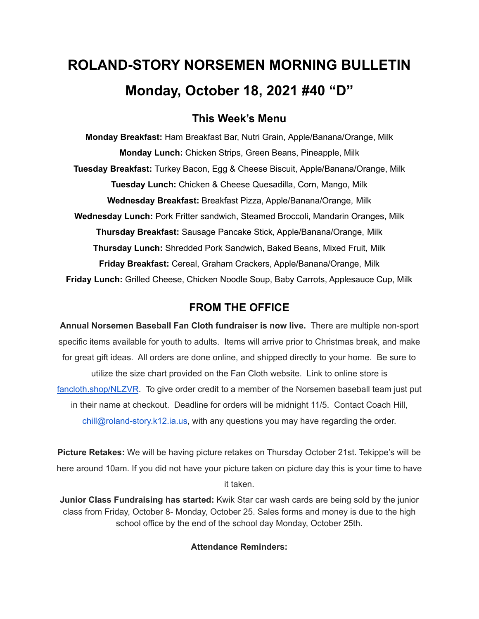# **ROLAND-STORY NORSEMEN MORNING BULLETIN Monday, October 18, 2021 #40 "D"**

# **This Week's Menu**

**Monday Breakfast:** Ham Breakfast Bar, Nutri Grain, Apple/Banana/Orange, Milk **Monday Lunch:** Chicken Strips, Green Beans, Pineapple, Milk **Tuesday Breakfast:** Turkey Bacon, Egg & Cheese Biscuit, Apple/Banana/Orange, Milk **Tuesday Lunch:** Chicken & Cheese Quesadilla, Corn, Mango, Milk **Wednesday Breakfast:** Breakfast Pizza, Apple/Banana/Orange, Milk **Wednesday Lunch:** Pork Fritter sandwich, Steamed Broccoli, Mandarin Oranges, Milk **Thursday Breakfast:** Sausage Pancake Stick, Apple/Banana/Orange, Milk **Thursday Lunch:** Shredded Pork Sandwich, Baked Beans, Mixed Fruit, Milk **Friday Breakfast:** Cereal, Graham Crackers, Apple/Banana/Orange, Milk **Friday Lunch:** Grilled Cheese, Chicken Noodle Soup, Baby Carrots, Applesauce Cup, Milk

## **FROM THE OFFICE**

**Annual Norsemen Baseball Fan Cloth fundraiser is now live.** There are multiple non-sport specific items available for youth to adults. Items will arrive prior to Christmas break, and make for great gift ideas. All orders are done online, and shipped directly to your home. Be sure to utilize the size chart provided on the Fan Cloth website. Link to online store is [fancloth.shop/NLZVR](http://fancloth.shop/NLZVR). To give order credit to a member of the Norsemen baseball team just put in their name at checkout. Deadline for orders will be midnight 11/5. Contact Coach Hill, chill@roland-story.k12.ia.us, with any questions you may have regarding the order.

**Picture Retakes:** We will be having picture retakes on Thursday October 21st. Tekippe's will be here around 10am. If you did not have your picture taken on picture day this is your time to have it taken.

**Junior Class Fundraising has started:** Kwik Star car wash cards are being sold by the junior class from Friday, October 8- Monday, October 25. Sales forms and money is due to the high school office by the end of the school day Monday, October 25th.

### **Attendance Reminders:**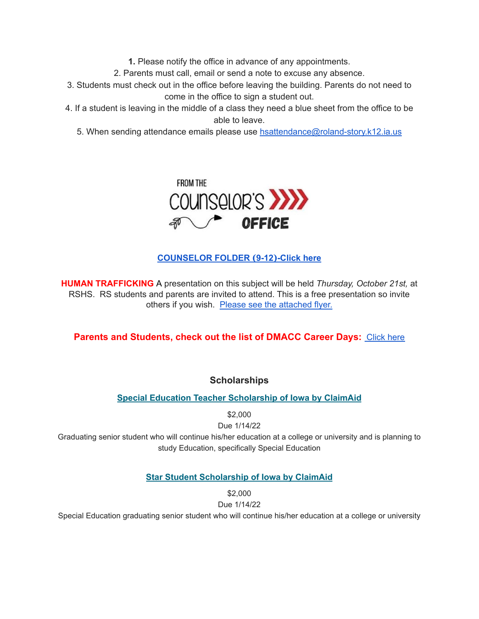**1.** Please notify the office in advance of any appointments.

2. Parents must call, email or send a note to excuse any absence.

- 3. Students must check out in the office before leaving the building. Parents do not need to come in the office to sign a student out.
- 4. If a student is leaving in the middle of a class they need a blue sheet from the office to be able to leave.

5. When sending attendance emails please use [hsattendance@roland-story.k12.ia.us](mailto:hsattendance@roland-story.k12.ia.us)



**[COUNSELOR](https://docs.google.com/document/d/1vmwczNPbDzXe9vFaG5LJMQ7NYDv-i4oQJHybqA65TUc/edit?usp=sharing) FOLDER (9-12)-Click here**

**HUMAN TRAFFICKING** A presentation on this subject will be held *Thursday, October 21st,* at RSHS. RS students and parents are invited to attend. This is a free presentation so invite others if you wish. Please see the [attached](https://drive.google.com/file/d/1yauLbYbFOUL1W6YeHUsplVp9VT4j6PbF/view?usp=sharing) flyer.

**Parents and Students, check out the list of DMACC Career Days: [Click](https://www.dmacc.edu/careerdiscovery/Pages/careerdiscovery.aspx) here** 

**Scholarships**

**Special Education Teacher [Scholarship](https://www.claimaid.com/se-teacher-scholarship/) of Iowa by ClaimAid**

\$2,000

Due 1/14/22 Graduating senior student who will continue his/her education at a college or university and is planning to study Education, specifically Special Education

## **Star Student [Scholarship](https://www.claimaid.com/star-student-scholarship/) of Iowa by ClaimAid**

\$2,000

Due 1/14/22

Special Education graduating senior student who will continue his/her education at a college or university